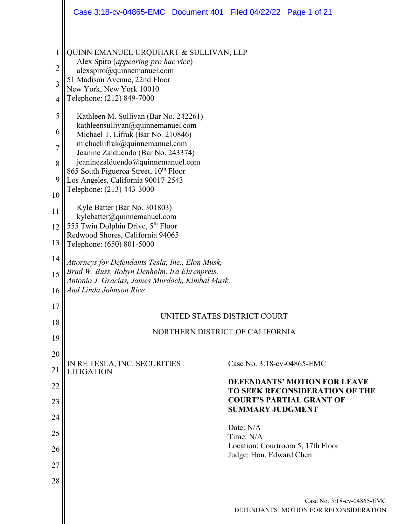|                                                                     | Case 3:18-cv-04865-EMC  Document 401  Filed 04/22/22  Page 1 of 21                                                                                                                                                                                                                                                                                                                                                                                                                                                                |                                                                              |
|---------------------------------------------------------------------|-----------------------------------------------------------------------------------------------------------------------------------------------------------------------------------------------------------------------------------------------------------------------------------------------------------------------------------------------------------------------------------------------------------------------------------------------------------------------------------------------------------------------------------|------------------------------------------------------------------------------|
| 1<br>$\overline{2}$<br>$\overline{3}$<br>4<br>5<br>6<br>7<br>8<br>9 | QUINN EMANUEL URQUHART & SULLIVAN, LLP<br>Alex Spiro (appearing pro hac vice)<br>alexspiro@quinnemanuel.com<br>51 Madison Avenue, 22nd Floor<br>New York, New York 10010<br>Telephone: (212) 849-7000<br>Kathleen M. Sullivan (Bar No. 242261)<br>kathleensullivan@quinnemanuel.com<br>Michael T. Lifrak (Bar No. 210846)<br>michaellifrak@quinnemanuel.com<br>Jeanine Zalduendo (Bar No. 243374)<br>jeaninezalduendo@quinnemanuel.com<br>865 South Figueroa Street, 10 <sup>th</sup> Floor<br>Los Angeles, California 90017-2543 |                                                                              |
| 10                                                                  | Telephone: (213) 443-3000                                                                                                                                                                                                                                                                                                                                                                                                                                                                                                         |                                                                              |
| 11                                                                  | Kyle Batter (Bar No. 301803)<br>kylebatter@quinnemanuel.com                                                                                                                                                                                                                                                                                                                                                                                                                                                                       |                                                                              |
| 12<br>13                                                            | 555 Twin Dolphin Drive, 5 <sup>th</sup> Floor<br>Redwood Shores, California 94065<br>Telephone: (650) 801-5000                                                                                                                                                                                                                                                                                                                                                                                                                    |                                                                              |
| 14                                                                  |                                                                                                                                                                                                                                                                                                                                                                                                                                                                                                                                   |                                                                              |
| 15<br>16                                                            | Attorneys for Defendants Tesla, Inc., Elon Musk,<br>Brad W. Buss, Robyn Denholm, Ira Ehrenpreis,<br>Antonio J. Gracias, James Murdoch, Kimbal Musk,<br>And Linda Johnson Rice                                                                                                                                                                                                                                                                                                                                                     |                                                                              |
| 17                                                                  |                                                                                                                                                                                                                                                                                                                                                                                                                                                                                                                                   |                                                                              |
| 18                                                                  | UNITED STATES DISTRICT COURT                                                                                                                                                                                                                                                                                                                                                                                                                                                                                                      |                                                                              |
| 19                                                                  | NORTHERN DISTRICT OF CALIFORNIA                                                                                                                                                                                                                                                                                                                                                                                                                                                                                                   |                                                                              |
| 20                                                                  |                                                                                                                                                                                                                                                                                                                                                                                                                                                                                                                                   |                                                                              |
| 21                                                                  | IN RE TESLA, INC. SECURITIES<br><b>LITIGATION</b>                                                                                                                                                                                                                                                                                                                                                                                                                                                                                 | Case No. 3:18-cv-04865-EMC                                                   |
| 22                                                                  |                                                                                                                                                                                                                                                                                                                                                                                                                                                                                                                                   | <b>DEFENDANTS' MOTION FOR LEAVE</b><br><b>TO SEEK RECONSIDERATION OF THE</b> |
| 23                                                                  |                                                                                                                                                                                                                                                                                                                                                                                                                                                                                                                                   | <b>COURT'S PARTIAL GRANT OF</b><br><b>SUMMARY JUDGMENT</b>                   |
| 24                                                                  |                                                                                                                                                                                                                                                                                                                                                                                                                                                                                                                                   | Date: N/A                                                                    |
| 25                                                                  |                                                                                                                                                                                                                                                                                                                                                                                                                                                                                                                                   | Time: N/A<br>Location: Courtroom 5, 17th Floor                               |
| 26                                                                  |                                                                                                                                                                                                                                                                                                                                                                                                                                                                                                                                   | Judge: Hon. Edward Chen                                                      |
| 27                                                                  |                                                                                                                                                                                                                                                                                                                                                                                                                                                                                                                                   |                                                                              |
| 28                                                                  |                                                                                                                                                                                                                                                                                                                                                                                                                                                                                                                                   |                                                                              |
|                                                                     |                                                                                                                                                                                                                                                                                                                                                                                                                                                                                                                                   | Case No. 3:18-cv-04865-EMC                                                   |
|                                                                     |                                                                                                                                                                                                                                                                                                                                                                                                                                                                                                                                   | DEFENDANTS' MOTION FOR RECONSIDERATION                                       |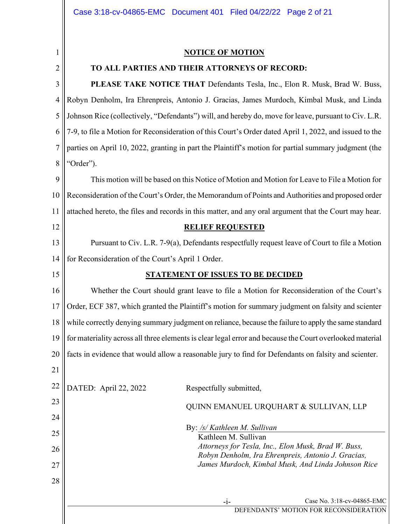2

15

#### NOTICE OF MOTION

## TO ALL PARTIES AND THEIR ATTORNEYS OF RECORD:

3 4 5 6 7 8 PLEASE TAKE NOTICE THAT Defendants Tesla, Inc., Elon R. Musk, Brad W. Buss, Robyn Denholm, Ira Ehrenpreis, Antonio J. Gracias, James Murdoch, Kimbal Musk, and Linda Johnson Rice (collectively, "Defendants") will, and hereby do, move for leave, pursuant to Civ. L.R. 7-9, to file a Motion for Reconsideration of this Court's Order dated April 1, 2022, and issued to the parties on April 10, 2022, granting in part the Plaintiff's motion for partial summary judgment (the "Order").

9 10 11 12 This motion will be based on this Notice of Motion and Motion for Leave to File a Motion for Reconsideration of the Court's Order, the Memorandum of Points and Authorities and proposed order attached hereto, the files and records in this matter, and any oral argument that the Court may hear. RELIEF REQUESTED

13 14 Pursuant to Civ. L.R. 7-9(a), Defendants respectfully request leave of Court to file a Motion for Reconsideration of the Court's April 1 Order.

## STATEMENT OF ISSUES TO BE DECIDED

16 17 18 19 20 21 Whether the Court should grant leave to file a Motion for Reconsideration of the Court's Order, ECF 387, which granted the Plaintiff's motion for summary judgment on falsity and scienter while correctly denying summary judgment on reliance, because the failure to apply the same standard for materiality across all three elements is clear legal error and because the Court overlooked material facts in evidence that would allow a reasonable jury to find for Defendants on falsity and scienter.

22 23 24 25 26 27 28 DATED: April 22, 2022 Respectfully submitted, QUINN EMANUEL URQUHART & SULLIVAN, LLP By: /s/ Kathleen M. Sullivan Kathleen M. Sullivan Attorneys for Tesla, Inc., Elon Musk, Brad W. Buss, Robyn Denholm, Ira Ehrenpreis, Antonio J. Gracias, James Murdoch, Kimbal Musk, And Linda Johnson Rice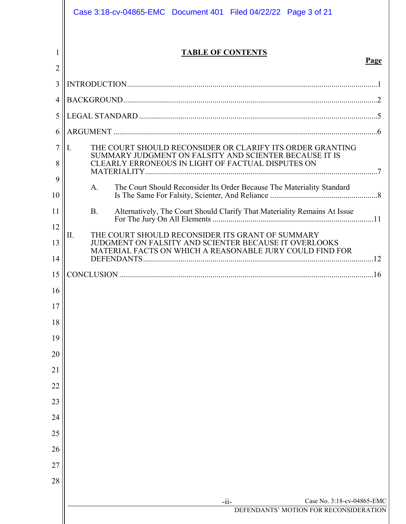|                | Case 3:18-cv-04865-EMC  Document 401  Filed 04/22/22  Page 3 of 21                                                                                                                                               |      |
|----------------|------------------------------------------------------------------------------------------------------------------------------------------------------------------------------------------------------------------|------|
| 2              | <b>TABLE OF CONTENTS</b>                                                                                                                                                                                         | Page |
| 3              |                                                                                                                                                                                                                  |      |
| 4              |                                                                                                                                                                                                                  |      |
| 5              |                                                                                                                                                                                                                  |      |
| 6              |                                                                                                                                                                                                                  |      |
| 7<br>8         | THE COURT SHOULD RECONSIDER OR CLARIFY ITS ORDER GRANTING<br>I.<br>SUMMARY JUDGMENT ON FALSITY AND SCIENTER BECAUSE IT IS<br>CLEARLY ERRONEOUS IN LIGHT OF FACTUAL DISPUTES ON                                   |      |
| 9<br>10        | The Court Should Reconsider Its Order Because The Materiality Standard<br>A.                                                                                                                                     |      |
| 11<br>12<br>13 | Alternatively, The Court Should Clarify That Materiality Remains At Issue<br><b>B.</b><br>THE COURT SHOULD RECONSIDER ITS GRANT OF SUMMARY<br>Π.<br><b>JUDGMENT ON FALSITY AND SCIENTER BECAUSE IT OVERLOOKS</b> |      |
| 14             | MATERIAL FACTS ON WHICH A REASONABLE JURY COULD FIND FOR                                                                                                                                                         |      |
| 15             |                                                                                                                                                                                                                  |      |
| 16             |                                                                                                                                                                                                                  |      |
| 17             |                                                                                                                                                                                                                  |      |
| 18             |                                                                                                                                                                                                                  |      |
| 19             |                                                                                                                                                                                                                  |      |
| 20             |                                                                                                                                                                                                                  |      |
| 21             |                                                                                                                                                                                                                  |      |
| 22             |                                                                                                                                                                                                                  |      |
| 23             |                                                                                                                                                                                                                  |      |
| 24             |                                                                                                                                                                                                                  |      |
| 25<br>26       |                                                                                                                                                                                                                  |      |
| 27             |                                                                                                                                                                                                                  |      |
| 28             |                                                                                                                                                                                                                  |      |
|                |                                                                                                                                                                                                                  |      |
|                | Case No. 3:18-cv-04865-EMC<br>$-i$ i-<br>DEFENDANTS' MOTION FOR RECONSIDERATION                                                                                                                                  |      |
|                |                                                                                                                                                                                                                  |      |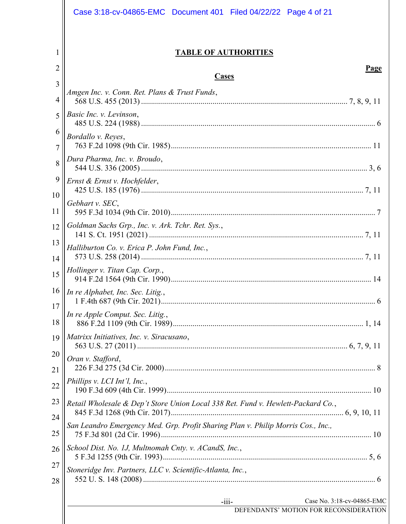|          | Case 3:18-cv-04865-EMC  Document 401  Filed 04/22/22  Page 4 of 21               |
|----------|----------------------------------------------------------------------------------|
| 1        | <b>TABLE OF AUTHORITIES</b>                                                      |
| 2        | <b>Page</b><br><b>Cases</b>                                                      |
| 3        | Amgen Inc. v. Conn. Ret. Plans & Trust Funds,                                    |
| 4<br>5   | Basic Inc. v. Levinson,                                                          |
| 6        |                                                                                  |
| 7        | Bordallo v. Reyes,                                                               |
| 8        | Dura Pharma, Inc. v. Broudo,                                                     |
| 9        | Ernst & Ernst v. Hochfelder,                                                     |
| 10<br>11 | Gebhart v. SEC,                                                                  |
| 12       | Goldman Sachs Grp., Inc. v. Ark. Tchr. Ret. Sys.,                                |
| 13       | Halliburton Co. v. Erica P. John Fund, Inc.,                                     |
| 14       |                                                                                  |
| 15       | Hollinger v. Titan Cap. Corp.,                                                   |
| 16       | In re Alphabet, Inc. Sec. Litig.,                                                |
| 17<br>18 | In re Apple Comput. Sec. Litig.,                                                 |
| 19       | Matrixx Initiatives, Inc. v. Siracusano,                                         |
| 20       | Oran v. Stafford,                                                                |
| 21       |                                                                                  |
| 22       | Phillips v. LCI Int'l, Inc.,                                                     |
| 23       | Retail Wholesale & Dep't Store Union Local 338 Ret. Fund v. Hewlett-Packard Co., |
| 24       | San Leandro Emergency Med. Grp. Profit Sharing Plan v. Philip Morris Cos., Inc., |
| 25       |                                                                                  |
| 26       | School Dist. No. 1J, Multnomah Cnty. v. ACandS, Inc.,                            |
| 27<br>28 | Stoneridge Inv. Partners, LLC v. Scientific-Atlanta, Inc.,                       |
|          | Case No. 3:18-cv-04865-EMC                                                       |
|          | $-iii-$<br>DEFENDANTS' MOTION FOR RECONSIDERATION                                |
|          |                                                                                  |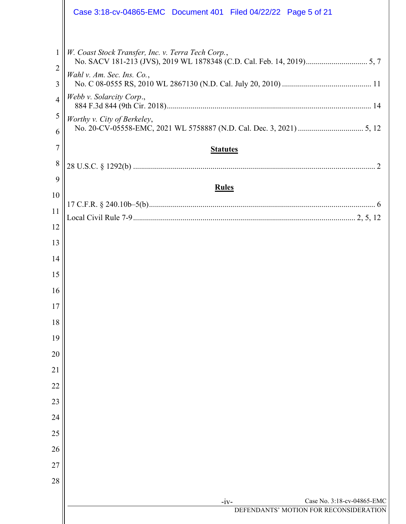|                | Case 3:18-cv-04865-EMC  Document 401  Filed 04/22/22  Page 5 of 21 |
|----------------|--------------------------------------------------------------------|
|                |                                                                    |
| $\mathbf{1}$   | W. Coast Stock Transfer, Inc. v. Terra Tech Corp.,                 |
| 2<br>3         | Wahl v. Am. Sec. Ins. Co.,                                         |
| $\overline{4}$ | Webb v. Solarcity Corp.,                                           |
| 5              | Worthy v. City of Berkeley,                                        |
| 6              |                                                                    |
| 7              | <b>Statutes</b>                                                    |
| 8              |                                                                    |
| 9              | <b>Rules</b>                                                       |
| 10             |                                                                    |
| 11             |                                                                    |
| 12             |                                                                    |
| 13             |                                                                    |
| 14             |                                                                    |
| 15             |                                                                    |
| 16             |                                                                    |
| 17             |                                                                    |
| 18             |                                                                    |
| 19             |                                                                    |
| 20             |                                                                    |
| 21             |                                                                    |
| 22             |                                                                    |
| 23             |                                                                    |
| 24             |                                                                    |
| 25             |                                                                    |
| 26             |                                                                    |
| 27             |                                                                    |
| 28             |                                                                    |
|                | Case No. 3:18-cv-04865-EMC<br>$-iv-$                               |
|                | DEFENDANTS' MOTION FOR RECONSIDERATION                             |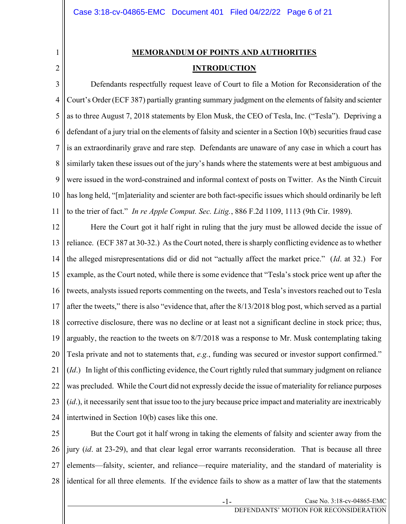# MEMORANDUM OF POINTS AND AUTHORITIES **INTRODUCTION**

3 4 5 6 7 8 9 10 11 Defendants respectfully request leave of Court to file a Motion for Reconsideration of the Court's Order (ECF 387) partially granting summary judgment on the elements of falsity and scienter as to three August 7, 2018 statements by Elon Musk, the CEO of Tesla, Inc. ("Tesla"). Depriving a defendant of a jury trial on the elements of falsity and scienter in a Section 10(b) securities fraud case is an extraordinarily grave and rare step. Defendants are unaware of any case in which a court has similarly taken these issues out of the jury's hands where the statements were at best ambiguous and were issued in the word-constrained and informal context of posts on Twitter. As the Ninth Circuit has long held, "[m]ateriality and scienter are both fact-specific issues which should ordinarily be left to the trier of fact." In re Apple Comput. Sec. Litig., 886 F.2d 1109, 1113 (9th Cir. 1989).

12 13 14 15 16 17 18 19 20 21 22 23 24 Here the Court got it half right in ruling that the jury must be allowed decide the issue of reliance. (ECF 387 at 30-32.) As the Court noted, there is sharply conflicting evidence as to whether the alleged misrepresentations did or did not "actually affect the market price." (Id. at 32.) For example, as the Court noted, while there is some evidence that "Tesla's stock price went up after the tweets, analysts issued reports commenting on the tweets, and Tesla's investors reached out to Tesla after the tweets," there is also "evidence that, after the 8/13/2018 blog post, which served as a partial corrective disclosure, there was no decline or at least not a significant decline in stock price; thus, arguably, the reaction to the tweets on 8/7/2018 was a response to Mr. Musk contemplating taking Tesla private and not to statements that, e.g., funding was secured or investor support confirmed." (Id.) In light of this conflicting evidence, the Court rightly ruled that summary judgment on reliance was precluded. While the Court did not expressly decide the issue of materiality for reliance purposes (id.), it necessarily sent that issue too to the jury because price impact and materiality are inextricably intertwined in Section 10(b) cases like this one.

25 26 27 28 But the Court got it half wrong in taking the elements of falsity and scienter away from the jury (id. at 23-29), and that clear legal error warrants reconsideration. That is because all three elements—falsity, scienter, and reliance—require materiality, and the standard of materiality is identical for all three elements. If the evidence fails to show as a matter of law that the statements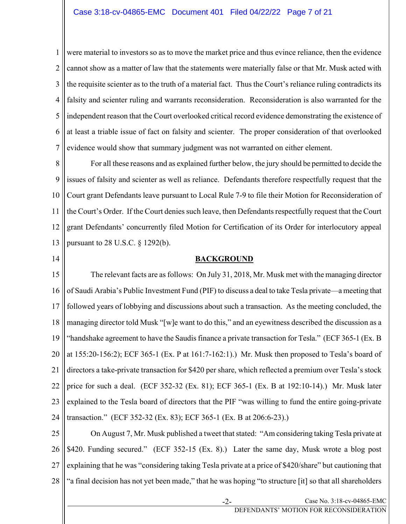1 2 3 4 5 6 7 were material to investors so as to move the market price and thus evince reliance, then the evidence cannot show as a matter of law that the statements were materially false or that Mr. Musk acted with the requisite scienter as to the truth of a material fact. Thus the Court's reliance ruling contradicts its falsity and scienter ruling and warrants reconsideration. Reconsideration is also warranted for the independent reason that the Court overlooked critical record evidence demonstrating the existence of at least a triable issue of fact on falsity and scienter. The proper consideration of that overlooked evidence would show that summary judgment was not warranted on either element.

8 9 10 11 12 13 For all these reasons and as explained further below, the jury should be permitted to decide the issues of falsity and scienter as well as reliance. Defendants therefore respectfully request that the Court grant Defendants leave pursuant to Local Rule 7-9 to file their Motion for Reconsideration of the Court's Order. If the Court denies such leave, then Defendants respectfully request that the Court grant Defendants' concurrently filed Motion for Certification of its Order for interlocutory appeal pursuant to 28 U.S.C. § 1292(b).

14

## BACKGROUND

15 16 17 18 19 20 21 22 23 24 The relevant facts are as follows: On July 31, 2018, Mr. Musk met with the managing director of Saudi Arabia's Public Investment Fund (PIF) to discuss a deal to take Tesla private—a meeting that followed years of lobbying and discussions about such a transaction. As the meeting concluded, the managing director told Musk "[w]e want to do this," and an eyewitness described the discussion as a "handshake agreement to have the Saudis finance a private transaction for Tesla." (ECF 365-1 (Ex. B at 155:20-156:2); ECF 365-1 (Ex. P at 161:7-162:1).) Mr. Musk then proposed to Tesla's board of directors a take-private transaction for \$420 per share, which reflected a premium over Tesla's stock price for such a deal. (ECF 352-32 (Ex. 81); ECF 365-1 (Ex. B at 192:10-14).) Mr. Musk later explained to the Tesla board of directors that the PIF "was willing to fund the entire going-private transaction." (ECF 352-32 (Ex. 83); ECF 365-1 (Ex. B at 206:6-23).)

25 26 27 28 On August 7, Mr. Musk published a tweet that stated: "Am considering taking Tesla private at \$420. Funding secured." (ECF 352-15 (Ex. 8).) Later the same day, Musk wrote a blog post explaining that he was "considering taking Tesla private at a price of \$420/share" but cautioning that "a final decision has not yet been made," that he was hoping "to structure [it] so that all shareholders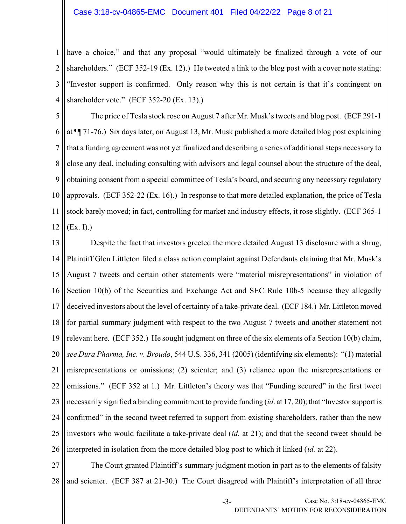#### Case 3:18-cv-04865-EMC Document 401 Filed 04/22/22 Page 8 of 21

1 2 3 4 have a choice," and that any proposal "would ultimately be finalized through a vote of our shareholders." (ECF 352-19 (Ex. 12).) He tweeted a link to the blog post with a cover note stating: "Investor support is confirmed. Only reason why this is not certain is that it's contingent on shareholder vote." (ECF 352-20 (Ex. 13).)

5 6 7 8 9 10 11 12 The price of Tesla stock rose on August 7 after Mr. Musk's tweets and blog post. (ECF 291-1 at ¶¶ 71-76.) Six days later, on August 13, Mr. Musk published a more detailed blog post explaining that a funding agreement was not yet finalized and describing a series of additional steps necessary to close any deal, including consulting with advisors and legal counsel about the structure of the deal, obtaining consent from a special committee of Tesla's board, and securing any necessary regulatory approvals. (ECF 352-22 (Ex. 16).) In response to that more detailed explanation, the price of Tesla stock barely moved; in fact, controlling for market and industry effects, it rose slightly. (ECF 365-1 (Ex. I).)

13 14 15 16 17 18 19 20 21 22 23 24 25 26 Despite the fact that investors greeted the more detailed August 13 disclosure with a shrug, Plaintiff Glen Littleton filed a class action complaint against Defendants claiming that Mr. Musk's August 7 tweets and certain other statements were "material misrepresentations" in violation of Section 10(b) of the Securities and Exchange Act and SEC Rule 10b-5 because they allegedly deceived investors about the level of certainty of a take-private deal. (ECF 184.) Mr. Littleton moved for partial summary judgment with respect to the two August 7 tweets and another statement not relevant here. (ECF 352.) He sought judgment on three of the six elements of a Section 10(b) claim, see Dura Pharma, Inc. v. Broudo, 544 U.S. 336, 341 (2005) (identifying six elements): "(1) material misrepresentations or omissions; (2) scienter; and (3) reliance upon the misrepresentations or omissions." (ECF 352 at 1.) Mr. Littleton's theory was that "Funding secured" in the first tweet necessarily signified a binding commitment to provide funding (*id.* at 17, 20); that "Investor support is confirmed" in the second tweet referred to support from existing shareholders, rather than the new investors who would facilitate a take-private deal (id. at 21); and that the second tweet should be interpreted in isolation from the more detailed blog post to which it linked *(id.* at 22).

27 28 The Court granted Plaintiff's summary judgment motion in part as to the elements of falsity and scienter. (ECF 387 at 21-30.) The Court disagreed with Plaintiff's interpretation of all three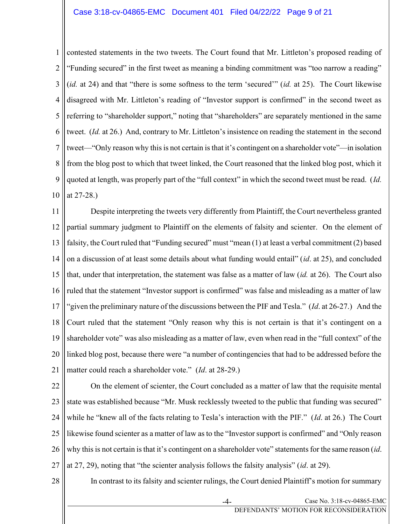1 2 3 4 5 6 7 8 9 10 contested statements in the two tweets. The Court found that Mr. Littleton's proposed reading of "Funding secured" in the first tweet as meaning a binding commitment was "too narrow a reading" (*id.* at 24) and that "there is some softness to the term 'secured'" (*id.* at 25). The Court likewise disagreed with Mr. Littleton's reading of "Investor support is confirmed" in the second tweet as referring to "shareholder support," noting that "shareholders" are separately mentioned in the same tweet. (Id. at 26.) And, contrary to Mr. Littleton's insistence on reading the statement in the second tweet—"Only reason why this is not certain is that it's contingent on a shareholder vote"—in isolation from the blog post to which that tweet linked, the Court reasoned that the linked blog post, which it quoted at length, was properly part of the "full context" in which the second tweet must be read. (Id. at 27-28.)

11 12 13 14 15 16 17 18 19 20 21 Despite interpreting the tweets very differently from Plaintiff, the Court nevertheless granted partial summary judgment to Plaintiff on the elements of falsity and scienter. On the element of falsity, the Court ruled that "Funding secured" must "mean (1) at least a verbal commitment (2) based on a discussion of at least some details about what funding would entail" (id. at 25), and concluded that, under that interpretation, the statement was false as a matter of law (id. at 26). The Court also ruled that the statement "Investor support is confirmed" was false and misleading as a matter of law "given the preliminary nature of the discussions between the PIF and Tesla." ( $Id$ . at 26-27.) And the Court ruled that the statement "Only reason why this is not certain is that it's contingent on a shareholder vote" was also misleading as a matter of law, even when read in the "full context" of the linked blog post, because there were "a number of contingencies that had to be addressed before the matter could reach a shareholder vote." (*Id.* at 28-29.)

22 23 24 25 26 27 On the element of scienter, the Court concluded as a matter of law that the requisite mental state was established because "Mr. Musk recklessly tweeted to the public that funding was secured" while he "knew all of the facts relating to Tesla's interaction with the PIF." (Id. at 26.) The Court likewise found scienter as a matter of law as to the "Investor support is confirmed" and "Only reason why this is not certain is that it's contingent on a shareholder vote" statements for the same reason *(id.* at 27, 29), noting that "the scienter analysis follows the falsity analysis" (id. at 29).

In contrast to its falsity and scienter rulings, the Court denied Plaintiff's motion for summary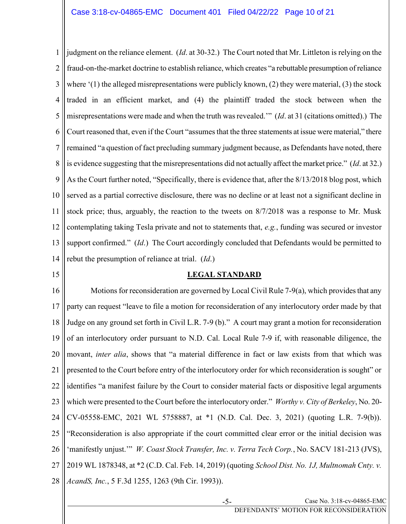1 2 3 4 5 6 7 8 9 10 11 12 13 14 judgment on the reliance element. (Id. at 30-32.) The Court noted that Mr. Littleton is relying on the fraud-on-the-market doctrine to establish reliance, which creates "a rebuttable presumption of reliance where  $(1)$  the alleged misrepresentations were publicly known, (2) they were material, (3) the stock traded in an efficient market, and (4) the plaintiff traded the stock between when the misrepresentations were made and when the truth was revealed.'" (Id. at 31 (citations omitted).) The Court reasoned that, even if the Court "assumes that the three statements at issue were material," there remained "a question of fact precluding summary judgment because, as Defendants have noted, there is evidence suggesting that the misrepresentations did not actually affect the market price." (Id. at 32.) As the Court further noted, "Specifically, there is evidence that, after the 8/13/2018 blog post, which served as a partial corrective disclosure, there was no decline or at least not a significant decline in stock price; thus, arguably, the reaction to the tweets on 8/7/2018 was a response to Mr. Musk contemplating taking Tesla private and not to statements that, e.g., funding was secured or investor support confirmed." (Id.) The Court accordingly concluded that Defendants would be permitted to rebut the presumption of reliance at trial. (Id.)

15

## LEGAL STANDARD

16 17 18 19 20 21 22 23 24 25 26 27 28 Motions for reconsideration are governed by Local Civil Rule 7-9(a), which provides that any party can request "leave to file a motion for reconsideration of any interlocutory order made by that Judge on any ground set forth in Civil L.R. 7-9 (b)." A court may grant a motion for reconsideration of an interlocutory order pursuant to N.D. Cal. Local Rule 7-9 if, with reasonable diligence, the movant, *inter alia*, shows that "a material difference in fact or law exists from that which was presented to the Court before entry of the interlocutory order for which reconsideration is sought" or identifies "a manifest failure by the Court to consider material facts or dispositive legal arguments which were presented to the Court before the interlocutory order." Worthy v. City of Berkeley, No. 20-CV-05558-EMC, 2021 WL 5758887, at \*1 (N.D. Cal. Dec. 3, 2021) (quoting L.R. 7-9(b)). "Reconsideration is also appropriate if the court committed clear error or the initial decision was 'manifestly unjust."" W. Coast Stock Transfer, Inc. v. Terra Tech Corp., No. SACV 181-213 (JVS), 2019 WL 1878348, at \*2 (C.D. Cal. Feb. 14, 2019) (quoting School Dist. No. 1J, Multnomah Cnty. v. AcandS, Inc., 5 F.3d 1255, 1263 (9th Cir. 1993)).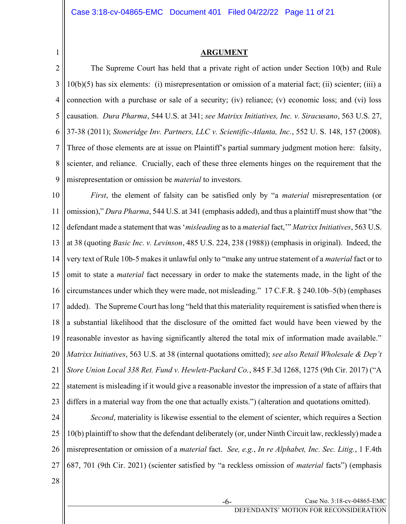#### ARGUMENT

2 3 4 5 6 7 8 9 The Supreme Court has held that a private right of action under Section 10(b) and Rule 10(b)(5) has six elements: (i) misrepresentation or omission of a material fact; (ii) scienter; (iii) a connection with a purchase or sale of a security; (iv) reliance; (v) economic loss; and (vi) loss causation. Dura Pharma, 544 U.S. at 341; see Matrixx Initiatives, Inc. v. Siracusano, 563 U.S. 27, 37-38 (2011); Stoneridge Inv. Partners, LLC v. Scientific-Atlanta, Inc., 552 U. S. 148, 157 (2008). Three of those elements are at issue on Plaintiff's partial summary judgment motion here: falsity, scienter, and reliance. Crucially, each of these three elements hinges on the requirement that the misrepresentation or omission be material to investors.

10 11 12 13 14 15 16 17 18 19 20 21 22 23 First, the element of falsity can be satisfied only by "a *material* misrepresentation (or omission)," Dura Pharma, 544 U.S. at 341 (emphasis added), and thus a plaintiff must show that "the defendant made a statement that was 'misleading as to a material fact," Matrixx Initiatives, 563 U.S. at 38 (quoting Basic Inc. v. Levinson, 485 U.S. 224, 238 (1988)) (emphasis in original). Indeed, the very text of Rule 10b-5 makes it unlawful only to "make any untrue statement of a material fact or to omit to state a *material* fact necessary in order to make the statements made, in the light of the circumstances under which they were made, not misleading." 17 C.F.R. § 240.10b–5(b) (emphases added). The Supreme Court has long "held that this materiality requirement is satisfied when there is a substantial likelihood that the disclosure of the omitted fact would have been viewed by the reasonable investor as having significantly altered the total mix of information made available." Matrixx Initiatives, 563 U.S. at 38 (internal quotations omitted); see also Retail Wholesale & Dep't Store Union Local 338 Ret. Fund v. Hewlett-Packard Co., 845 F.3d 1268, 1275 (9th Cir. 2017) ("A statement is misleading if it would give a reasonable investor the impression of a state of affairs that differs in a material way from the one that actually exists.") (alteration and quotations omitted).

24 25 26 27 Second, materiality is likewise essential to the element of scienter, which requires a Section 10(b) plaintiff to show that the defendant deliberately (or, under Ninth Circuit law, recklessly) made a misrepresentation or omission of a *material* fact. See, e.g., In re Alphabet, Inc. Sec. Litig., 1 F.4th 687, 701 (9th Cir. 2021) (scienter satisfied by "a reckless omission of material facts") (emphasis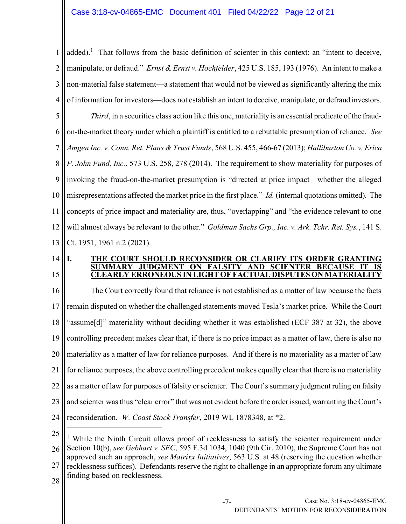1 2 3 4 added).<sup>1</sup> That follows from the basic definition of scienter in this context: an "intent to deceive, manipulate, or defraud." *Ernst & Ernst v. Hochfelder*, 425 U.S. 185, 193 (1976). An intent to make a non-material false statement—a statement that would not be viewed as significantly altering the mix of information for investors—does not establish an intent to deceive, manipulate, or defraud investors.

5 6 7 8 9 10 11 12 13 Third, in a securities class action like this one, materiality is an essential predicate of the fraudon-the-market theory under which a plaintiff is entitled to a rebuttable presumption of reliance. See Amgen Inc. v. Conn. Ret. Plans & Trust Funds, 568 U.S. 455, 466-67 (2013); Halliburton Co. v. Erica P. John Fund, Inc., 573 U.S. 258, 278 (2014). The requirement to show materiality for purposes of invoking the fraud-on-the-market presumption is "directed at price impact—whether the alleged misrepresentations affected the market price in the first place." Id. (internal quotations omitted). The concepts of price impact and materiality are, thus, "overlapping" and "the evidence relevant to one will almost always be relevant to the other." Goldman Sachs Grp., Inc. v. Ark. Tchr. Ret. Sys., 141 S. Ct. 1951, 1961 n.2 (2021).

14 15

#### I. THE COURT SHOULD RECONSIDER OR CLARIFY ITS ORDER GRANTING SUMMARY JUDGMENT ON FALSITY AND SCIENTER BECAUSE CLEARLY ERRONEOUS IN LIGHT OF FACTUAL DISPUTES ON MATERIALITY

16 17 18 19 20 21 22 23 24 The Court correctly found that reliance is not established as a matter of law because the facts remain disputed on whether the challenged statements moved Tesla's market price. While the Court "assume[d]" materiality without deciding whether it was established (ECF 387 at 32), the above controlling precedent makes clear that, if there is no price impact as a matter of law, there is also no materiality as a matter of law for reliance purposes. And if there is no materiality as a matter of law for reliance purposes, the above controlling precedent makes equally clear that there is no materiality as a matter of law for purposes of falsity or scienter. The Court's summary judgment ruling on falsity and scienter was thus "clear error" that was not evident before the order issued, warranting the Court's reconsideration. W. Coast Stock Transfer, 2019 WL 1878348, at \*2.

25

26 27 <sup>1</sup> While the Ninth Circuit allows proof of recklessness to satisfy the scienter requirement under Section 10(b), see Gebhart v. SEC, 595 F.3d 1034, 1040 (9th Cir. 2010), the Supreme Court has not approved such an approach, see Matrixx Initiatives, 563 U.S. at 48 (reserving the question whether recklessness suffices). Defendants reserve the right to challenge in an appropriate forum any ultimate finding based on recklessness.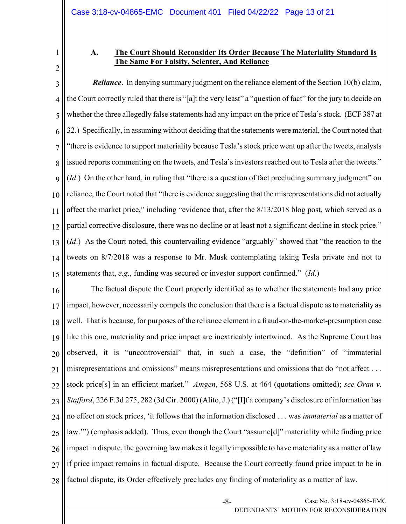## A. The Court Should Reconsider Its Order Because The Materiality Standard Is The Same For Falsity, Scienter, And Reliance

3 4 5 6 7 8 9 10 11 12 13 14 15 **Reliance.** In denying summary judgment on the reliance element of the Section 10(b) claim, the Court correctly ruled that there is "[a]t the very least" a "question of fact" for the jury to decide on whether the three allegedly false statements had any impact on the price of Tesla's stock. (ECF 387 at 32.) Specifically, in assuming without deciding that the statements were material, the Court noted that "there is evidence to support materiality because Tesla's stock price went up after the tweets, analysts issued reports commenting on the tweets, and Tesla's investors reached out to Tesla after the tweets." (*Id.*) On the other hand, in ruling that "there is a question of fact precluding summary judgment" on reliance, the Court noted that "there is evidence suggesting that the misrepresentations did not actually affect the market price," including "evidence that, after the 8/13/2018 blog post, which served as a partial corrective disclosure, there was no decline or at least not a significant decline in stock price." (*Id.*) As the Court noted, this countervailing evidence "arguably" showed that "the reaction to the tweets on 8/7/2018 was a response to Mr. Musk contemplating taking Tesla private and not to statements that,  $e.g.,$  funding was secured or investor support confirmed." (Id.)

16 17 18 19 20 21 22 23 24 25 26 27 28 The factual dispute the Court properly identified as to whether the statements had any price impact, however, necessarily compels the conclusion that there is a factual dispute as to materiality as well. That is because, for purposes of the reliance element in a fraud-on-the-market-presumption case like this one, materiality and price impact are inextricably intertwined. As the Supreme Court has observed, it is "uncontroversial" that, in such a case, the "definition" of "immaterial misrepresentations and omissions" means misrepresentations and omissions that do "not affect . . . stock price[s] in an efficient market." Amgen, 568 U.S. at 464 (quotations omitted); see Oran v. Stafford, 226 F.3d 275, 282 (3d Cir. 2000) (Alito, J.) ("[I]f a company's disclosure of information has no effect on stock prices, 'it follows that the information disclosed . . . was *immaterial* as a matter of law.'") (emphasis added). Thus, even though the Court "assume[d]" materiality while finding price impact in dispute, the governing law makes it legally impossible to have materiality as a matter of law if price impact remains in factual dispute. Because the Court correctly found price impact to be in factual dispute, its Order effectively precludes any finding of materiality as a matter of law.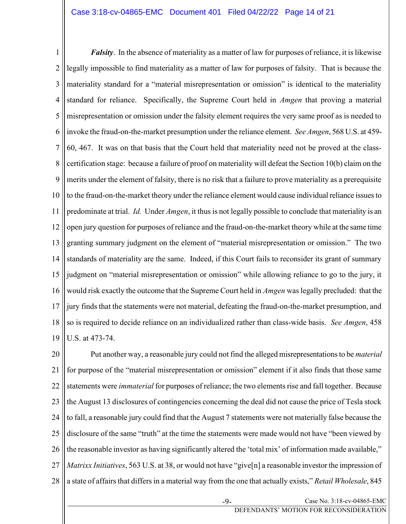1 2 3 4 5 6 7 8 9 10 11 12 13 14 15 16 17 18 19 **Falsity**. In the absence of materiality as a matter of law for purposes of reliance, it is likewise legally impossible to find materiality as a matter of law for purposes of falsity. That is because the materiality standard for a "material misrepresentation or omission" is identical to the materiality standard for reliance. Specifically, the Supreme Court held in *Amgen* that proving a material misrepresentation or omission under the falsity element requires the very same proof as is needed to invoke the fraud-on-the-market presumption under the reliance element. See Amgen, 568 U.S. at 459- 60, 467. It was on that basis that the Court held that materiality need not be proved at the classcertification stage: because a failure of proof on materiality will defeat the Section 10(b) claim on the merits under the element of falsity, there is no risk that a failure to prove materiality as a prerequisite to the fraud-on-the-market theory under the reliance element would cause individual reliance issues to predominate at trial. Id. Under Amgen, it thus is not legally possible to conclude that materiality is an open jury question for purposes of reliance and the fraud-on-the-market theory while at the same time granting summary judgment on the element of "material misrepresentation or omission." The two standards of materiality are the same. Indeed, if this Court fails to reconsider its grant of summary judgment on "material misrepresentation or omission" while allowing reliance to go to the jury, it would risk exactly the outcome that the Supreme Court held in *Amgen* was legally precluded: that the jury finds that the statements were not material, defeating the fraud-on-the-market presumption, and so is required to decide reliance on an individualized rather than class-wide basis. See Amgen, 458 U.S. at 473-74.

20 21 22 23 24 25 26 27 28 Put another way, a reasonable jury could not find the alleged misrepresentations to be *material* for purpose of the "material misrepresentation or omission" element if it also finds that those same statements were immaterial for purposes of reliance; the two elements rise and fall together. Because the August 13 disclosures of contingencies concerning the deal did not cause the price of Tesla stock to fall, a reasonable jury could find that the August 7 statements were not materially false because the disclosure of the same "truth" at the time the statements were made would not have "been viewed by the reasonable investor as having significantly altered the 'total mix' of information made available," Matrixx Initiatives, 563 U.S. at 38, or would not have "give<sup>[n]</sup> a reasonable investor the impression of a state of affairs that differs in a material way from the one that actually exists," Retail Wholesale, 845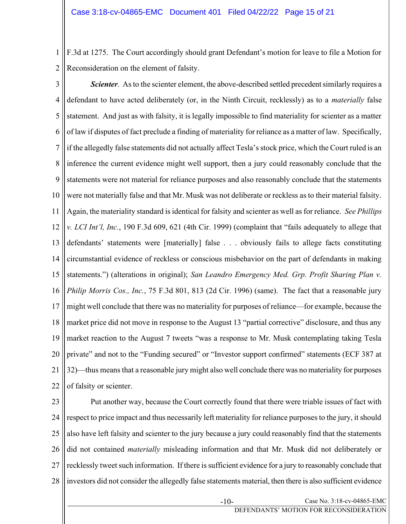1 2 F.3d at 1275. The Court accordingly should grant Defendant's motion for leave to file a Motion for Reconsideration on the element of falsity.

3 4 5 6 7 8 9 10 11 12 13 14 15 16 17 18 19 20 21 22 Scienter. As to the scienter element, the above-described settled precedent similarly requires a defendant to have acted deliberately (or, in the Ninth Circuit, recklessly) as to a materially false statement. And just as with falsity, it is legally impossible to find materiality for scienter as a matter of law if disputes of fact preclude a finding of materiality for reliance as a matter of law. Specifically, if the allegedly false statements did not actually affect Tesla's stock price, which the Court ruled is an inference the current evidence might well support, then a jury could reasonably conclude that the statements were not material for reliance purposes and also reasonably conclude that the statements were not materially false and that Mr. Musk was not deliberate or reckless as to their material falsity. Again, the materiality standard is identical for falsity and scienter as well as for reliance. See Phillips v. LCI Int'l, Inc., 190 F.3d 609, 621 (4th Cir. 1999) (complaint that "fails adequately to allege that defendants' statements were [materially] false . . . obviously fails to allege facts constituting circumstantial evidence of reckless or conscious misbehavior on the part of defendants in making statements.") (alterations in original); San Leandro Emergency Med. Grp. Profit Sharing Plan v. Philip Morris Cos., Inc., 75 F.3d 801, 813 (2d Cir. 1996) (same). The fact that a reasonable jury might well conclude that there was no materiality for purposes of reliance—for example, because the market price did not move in response to the August 13 "partial corrective" disclosure, and thus any market reaction to the August 7 tweets "was a response to Mr. Musk contemplating taking Tesla private" and not to the "Funding secured" or "Investor support confirmed" statements (ECF 387 at 32)—thus means that a reasonable jury might also well conclude there was no materiality for purposes of falsity or scienter.

23 24 25 26 27 28 Put another way, because the Court correctly found that there were triable issues of fact with respect to price impact and thus necessarily left materiality for reliance purposes to the jury, it should also have left falsity and scienter to the jury because a jury could reasonably find that the statements did not contained materially misleading information and that Mr. Musk did not deliberately or recklessly tweet such information. If there is sufficient evidence for a jury to reasonably conclude that investors did not consider the allegedly false statements material, then there is also sufficient evidence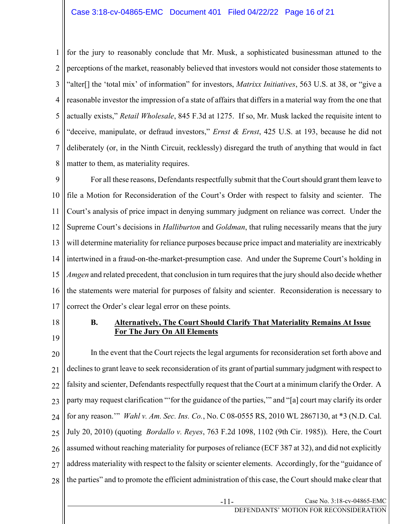1 2 3 4 5 6 7 8 for the jury to reasonably conclude that Mr. Musk, a sophisticated businessman attuned to the perceptions of the market, reasonably believed that investors would not consider those statements to "alter<sup>[]</sup> the 'total mix' of information" for investors, *Matrixx Initiatives*, 563 U.S. at 38, or "give a reasonable investor the impression of a state of affairs that differs in a material way from the one that actually exists," Retail Wholesale, 845 F.3d at 1275. If so, Mr. Musk lacked the requisite intent to "deceive, manipulate, or defraud investors," *Ernst & Ernst*, 425 U.S. at 193, because he did not deliberately (or, in the Ninth Circuit, recklessly) disregard the truth of anything that would in fact matter to them, as materiality requires.

9 10 11 12 13 14 15 16 17 For all these reasons, Defendants respectfully submit that the Court should grant them leave to file a Motion for Reconsideration of the Court's Order with respect to falsity and scienter. The Court's analysis of price impact in denying summary judgment on reliance was correct. Under the Supreme Court's decisions in *Halliburton* and *Goldman*, that ruling necessarily means that the jury will determine materiality for reliance purposes because price impact and materiality are inextricably intertwined in a fraud-on-the-market-presumption case. And under the Supreme Court's holding in Amgen and related precedent, that conclusion in turn requires that the jury should also decide whether the statements were material for purposes of falsity and scienter. Reconsideration is necessary to correct the Order's clear legal error on these points.

18

19

## B. Alternatively, The Court Should Clarify That Materiality Remains At Issue For The Jury On All Elements

20 21 22 23 24 25 26 27 28 In the event that the Court rejects the legal arguments for reconsideration set forth above and declines to grant leave to seek reconsideration of its grant of partial summary judgment with respect to falsity and scienter, Defendants respectfully request that the Court at a minimum clarify the Order. A party may request clarification "'for the guidance of the parties,'" and "[a] court may clarify its order for any reason."" Wahl v. Am. Sec. Ins. Co., No. C 08-0555 RS, 2010 WL 2867130, at \*3 (N.D. Cal. July 20, 2010) (quoting Bordallo v. Reyes, 763 F.2d 1098, 1102 (9th Cir. 1985)). Here, the Court assumed without reaching materiality for purposes of reliance (ECF 387 at 32), and did not explicitly address materiality with respect to the falsity or scienter elements. Accordingly, for the "guidance of the parties" and to promote the efficient administration of this case, the Court should make clear that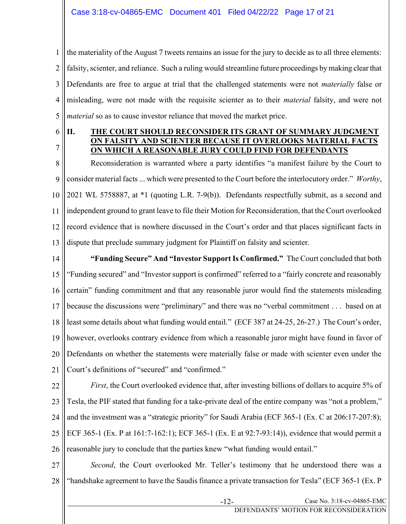1 2 3 4 5 the materiality of the August 7 tweets remains an issue for the jury to decide as to all three elements: falsity, scienter, and reliance. Such a ruling would streamline future proceedings by making clear that Defendants are free to argue at trial that the challenged statements were not materially false or misleading, were not made with the requisite scienter as to their material falsity, and were not material so as to cause investor reliance that moved the market price.

6

7

#### II. THE COURT SHOULD RECONSIDER ITS GRANT OF SUMMARY JUDGMENT ON FALSITY AND SCIENTER BECAUSE IT OVERLOOKS MATERIAL FACTS ON WHICH A REASONABLE JURY COULD FIND FOR DEFENDANTS

8 9 10 11 12 13 Reconsideration is warranted where a party identifies "a manifest failure by the Court to consider material facts ... which were presented to the Court before the interlocutory order." Worthy, 2021 WL 5758887, at \*1 (quoting L.R. 7-9(b)). Defendants respectfully submit, as a second and independent ground to grant leave to file their Motion for Reconsideration, that the Court overlooked record evidence that is nowhere discussed in the Court's order and that places significant facts in dispute that preclude summary judgment for Plaintiff on falsity and scienter.

14 15 16 17 18 19 20 21 "Funding Secure" And "Investor Support Is Confirmed." The Court concluded that both "Funding secured" and "Investor support is confirmed" referred to a "fairly concrete and reasonably certain" funding commitment and that any reasonable juror would find the statements misleading because the discussions were "preliminary" and there was no "verbal commitment . . . based on at least some details about what funding would entail." (ECF 387 at 24-25, 26-27.) The Court's order, however, overlooks contrary evidence from which a reasonable juror might have found in favor of Defendants on whether the statements were materially false or made with scienter even under the Court's definitions of "secured" and "confirmed."

22 23 24 25 26 First, the Court overlooked evidence that, after investing billions of dollars to acquire 5% of Tesla, the PIF stated that funding for a take-private deal of the entire company was "not a problem," and the investment was a "strategic priority" for Saudi Arabia (ECF 365-1 (Ex. C at 206:17-207:8); ECF 365-1 (Ex. P at 161:7-162:1); ECF 365-1 (Ex. E at 92:7-93:14)), evidence that would permit a reasonable jury to conclude that the parties knew "what funding would entail."

27 28 Second, the Court overlooked Mr. Teller's testimony that he understood there was a "handshake agreement to have the Saudis finance a private transaction for Tesla" (ECF 365-1 (Ex. P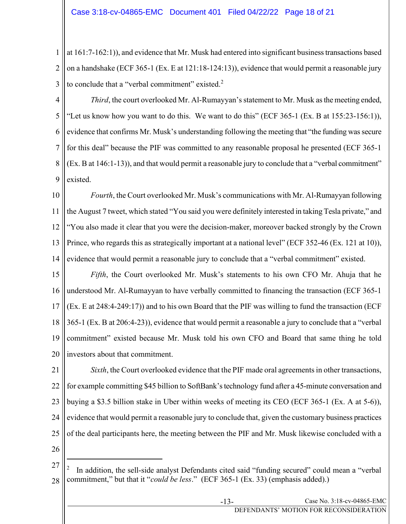1 2 3 at 161:7-162:1)), and evidence that Mr. Musk had entered into significant business transactions based on a handshake (ECF 365-1 (Ex. E at 121:18-124:13)), evidence that would permit a reasonable jury to conclude that a "verbal commitment" existed. $2$ 

4 5 6 7 8 9 Third, the court overlooked Mr. Al-Rumayyan's statement to Mr. Musk as the meeting ended, "Let us know how you want to do this. We want to do this" (ECF 365-1 (Ex. B at 155:23-156:1)), evidence that confirms Mr. Musk's understanding following the meeting that "the funding was secure for this deal" because the PIF was committed to any reasonable proposal he presented (ECF 365-1 (Ex. B at 146:1-13)), and that would permit a reasonable jury to conclude that a "verbal commitment" existed.

10 11 12 13 14 Fourth, the Court overlooked Mr. Musk's communications with Mr. Al-Rumayyan following the August 7 tweet, which stated "You said you were definitely interested in taking Tesla private," and "You also made it clear that you were the decision-maker, moreover backed strongly by the Crown Prince, who regards this as strategically important at a national level" (ECF 352-46 (Ex. 121 at 10)), evidence that would permit a reasonable jury to conclude that a "verbal commitment" existed.

15 16 17 18 19 20 Fifth, the Court overlooked Mr. Musk's statements to his own CFO Mr. Ahuja that he understood Mr. Al-Rumayyan to have verbally committed to financing the transaction (ECF 365-1 (Ex. E at 248:4-249:17)) and to his own Board that the PIF was willing to fund the transaction (ECF 365-1 (Ex. B at 206:4-23)), evidence that would permit a reasonable a jury to conclude that a "verbal commitment" existed because Mr. Musk told his own CFO and Board that same thing he told investors about that commitment.

21 22 23 24 25 Sixth, the Court overlooked evidence that the PIF made oral agreements in other transactions, for example committing \$45 billion to SoftBank's technology fund after a 45-minute conversation and buying a \$3.5 billion stake in Uber within weeks of meeting its CEO (ECF 365-1 (Ex. A at 5-6)), evidence that would permit a reasonable jury to conclude that, given the customary business practices of the deal participants here, the meeting between the PIF and Mr. Musk likewise concluded with a

<sup>27</sup> 28 2 In addition, the sell-side analyst Defendants cited said "funding secured" could mean a "verbal commitment," but that it "could be less." (ECF 365-1 (Ex. 33) (emphasis added).)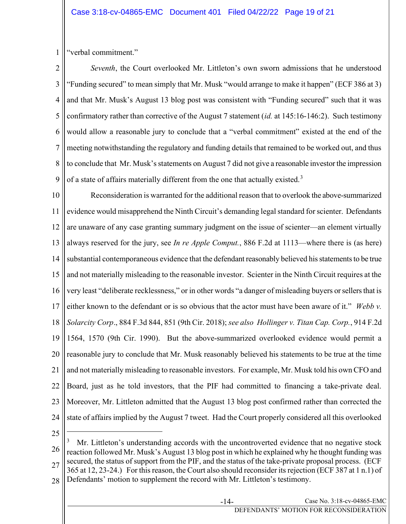1 "verbal commitment."

2 3 4 5 6 7 8 9 Seventh, the Court overlooked Mr. Littleton's own sworn admissions that he understood "Funding secured" to mean simply that Mr. Musk "would arrange to make it happen" (ECF 386 at 3) and that Mr. Musk's August 13 blog post was consistent with "Funding secured" such that it was confirmatory rather than corrective of the August 7 statement (id. at 145:16-146:2). Such testimony would allow a reasonable jury to conclude that a "verbal commitment" existed at the end of the meeting notwithstanding the regulatory and funding details that remained to be worked out, and thus to conclude that Mr. Musk's statements on August 7 did not give a reasonable investor the impression of a state of affairs materially different from the one that actually existed.<sup>3</sup>

10 11 12 13 14 15 16 17 18 19 20 21 22 23 24 Reconsideration is warranted for the additional reason that to overlook the above-summarized evidence would misapprehend the Ninth Circuit's demanding legal standard for scienter. Defendants are unaware of any case granting summary judgment on the issue of scienter—an element virtually always reserved for the jury, see In re Apple Comput., 886 F.2d at 1113—where there is (as here) substantial contemporaneous evidence that the defendant reasonably believed his statements to be true and not materially misleading to the reasonable investor. Scienter in the Ninth Circuit requires at the very least "deliberate recklessness," or in other words "a danger of misleading buyers or sellers that is either known to the defendant or is so obvious that the actor must have been aware of it." Webb v. Solarcity Corp., 884 F.3d 844, 851 (9th Cir. 2018); see also Hollinger v. Titan Cap. Corp., 914 F.2d 1564, 1570 (9th Cir. 1990). But the above-summarized overlooked evidence would permit a reasonable jury to conclude that Mr. Musk reasonably believed his statements to be true at the time and not materially misleading to reasonable investors. For example, Mr. Musk told his own CFO and Board, just as he told investors, that the PIF had committed to financing a take-private deal. Moreover, Mr. Littleton admitted that the August 13 blog post confirmed rather than corrected the state of affairs implied by the August 7 tweet. Had the Court properly considered all this overlooked

25

26 27 3 Mr. Littleton's understanding accords with the uncontroverted evidence that no negative stock reaction followed Mr. Musk's August 13 blog post in which he explained why he thought funding was secured, the status of support from the PIF, and the status of the take-private proposal process. (ECF 365 at 12, 23-24.) For this reason, the Court also should reconsider its rejection (ECF 387 at 1 n.1) of

28 Defendants' motion to supplement the record with Mr. Littleton's testimony.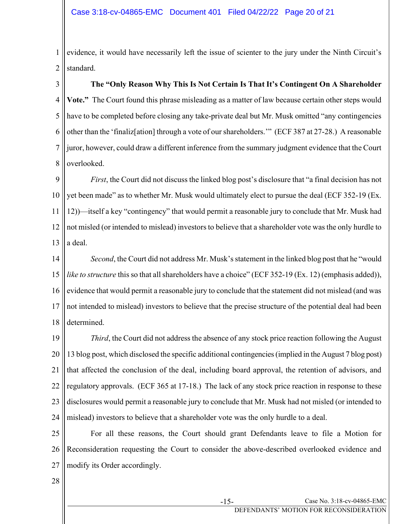1 2 evidence, it would have necessarily left the issue of scienter to the jury under the Ninth Circuit's standard.

3 4 5 6 7 8 The "Only Reason Why This Is Not Certain Is That It's Contingent On A Shareholder Vote." The Court found this phrase misleading as a matter of law because certain other steps would have to be completed before closing any take-private deal but Mr. Musk omitted "any contingencies other than the 'finaliz[ation] through a vote of our shareholders.'" (ECF 387 at 27-28.) A reasonable juror, however, could draw a different inference from the summary judgment evidence that the Court overlooked.

9 10 11 12 13 First, the Court did not discuss the linked blog post's disclosure that "a final decision has not yet been made" as to whether Mr. Musk would ultimately elect to pursue the deal (ECF 352-19 (Ex. 12))—itself a key "contingency" that would permit a reasonable jury to conclude that Mr. Musk had not misled (or intended to mislead) investors to believe that a shareholder vote was the only hurdle to a deal.

14 15 16 17 18 Second, the Court did not address Mr. Musk's statement in the linked blog post that he "would like to structure this so that all shareholders have a choice" (ECF 352-19 (Ex. 12) (emphasis added)), evidence that would permit a reasonable jury to conclude that the statement did not mislead (and was not intended to mislead) investors to believe that the precise structure of the potential deal had been determined.

19 20 21 22 23 24 Third, the Court did not address the absence of any stock price reaction following the August 13 blog post, which disclosed the specific additional contingencies (implied in the August 7 blog post) that affected the conclusion of the deal, including board approval, the retention of advisors, and regulatory approvals. (ECF 365 at 17-18.) The lack of any stock price reaction in response to these disclosures would permit a reasonable jury to conclude that Mr. Musk had not misled (or intended to mislead) investors to believe that a shareholder vote was the only hurdle to a deal.

25 26 27 For all these reasons, the Court should grant Defendants leave to file a Motion for Reconsideration requesting the Court to consider the above-described overlooked evidence and modify its Order accordingly.